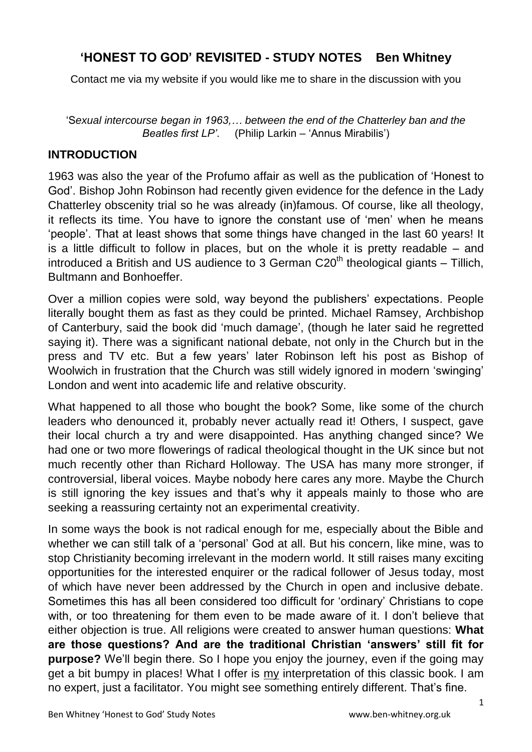## **'HONEST TO GOD' REVISITED - STUDY NOTES Ben Whitney**

Contact me via my website if you would like me to share in the discussion with you

'S*exual intercourse began in 1963,… between the end of the Chatterley ban and the Beatles first LP'*. (Philip Larkin – 'Annus Mirabilis')

#### **INTRODUCTION**

1963 was also the year of the Profumo affair as well as the publication of 'Honest to God'. Bishop John Robinson had recently given evidence for the defence in the Lady Chatterley obscenity trial so he was already (in)famous. Of course, like all theology, it reflects its time. You have to ignore the constant use of 'men' when he means 'people'. That at least shows that some things have changed in the last 60 years! It is a little difficult to follow in places, but on the whole it is pretty readable – and introduced a British and US audience to 3 German  $C20<sup>th</sup>$  theological giants – Tillich, Bultmann and Bonhoeffer.

Over a million copies were sold, way beyond the publishers' expectations. People literally bought them as fast as they could be printed. Michael Ramsey, Archbishop of Canterbury, said the book did 'much damage', (though he later said he regretted saying it). There was a significant national debate, not only in the Church but in the press and TV etc. But a few years' later Robinson left his post as Bishop of Woolwich in frustration that the Church was still widely ignored in modern 'swinging' London and went into academic life and relative obscurity.

What happened to all those who bought the book? Some, like some of the church leaders who denounced it, probably never actually read it! Others, I suspect, gave their local church a try and were disappointed. Has anything changed since? We had one or two more flowerings of radical theological thought in the UK since but not much recently other than Richard Holloway. The USA has many more stronger, if controversial, liberal voices. Maybe nobody here cares any more. Maybe the Church is still ignoring the key issues and that's why it appeals mainly to those who are seeking a reassuring certainty not an experimental creativity.

In some ways the book is not radical enough for me, especially about the Bible and whether we can still talk of a 'personal' God at all. But his concern, like mine, was to stop Christianity becoming irrelevant in the modern world. It still raises many exciting opportunities for the interested enquirer or the radical follower of Jesus today, most of which have never been addressed by the Church in open and inclusive debate. Sometimes this has all been considered too difficult for 'ordinary' Christians to cope with, or too threatening for them even to be made aware of it. I don't believe that either objection is true. All religions were created to answer human questions: **What are those questions? And are the traditional Christian 'answers' still fit for purpose?** We'll begin there. So I hope you enjoy the journey, even if the going may get a bit bumpy in places! What I offer is my interpretation of this classic book. I am no expert, just a facilitator. You might see something entirely different. That's fine.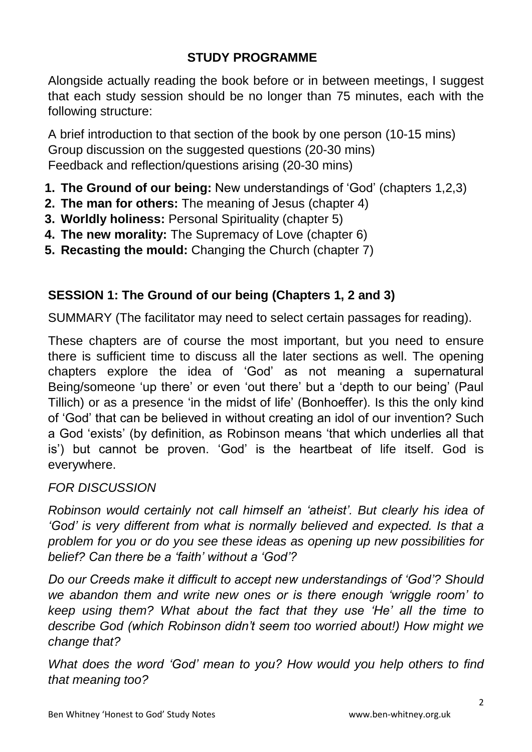# **STUDY PROGRAMME**

Alongside actually reading the book before or in between meetings, I suggest that each study session should be no longer than 75 minutes, each with the following structure:

A brief introduction to that section of the book by one person (10-15 mins) Group discussion on the suggested questions (20-30 mins) Feedback and reflection/questions arising (20-30 mins)

- **1. The Ground of our being:** New understandings of 'God' (chapters 1,2,3)
- **2. The man for others:** The meaning of Jesus (chapter 4)
- **3. Worldly holiness:** Personal Spirituality (chapter 5)
- **4. The new morality:** The Supremacy of Love (chapter 6)
- **5. Recasting the mould:** Changing the Church (chapter 7)

# **SESSION 1: The Ground of our being (Chapters 1, 2 and 3)**

SUMMARY (The facilitator may need to select certain passages for reading).

These chapters are of course the most important, but you need to ensure there is sufficient time to discuss all the later sections as well. The opening chapters explore the idea of 'God' as not meaning a supernatural Being/someone 'up there' or even 'out there' but a 'depth to our being' (Paul Tillich) or as a presence 'in the midst of life' (Bonhoeffer). Is this the only kind of 'God' that can be believed in without creating an idol of our invention? Such a God 'exists' (by definition, as Robinson means 'that which underlies all that is') but cannot be proven. 'God' is the heartbeat of life itself. God is everywhere.

## *FOR DISCUSSION*

*Robinson would certainly not call himself an 'atheist'. But clearly his idea of 'God' is very different from what is normally believed and expected. Is that a problem for you or do you see these ideas as opening up new possibilities for belief? Can there be a 'faith' without a 'God'?*

*Do our Creeds make it difficult to accept new understandings of 'God'? Should we abandon them and write new ones or is there enough 'wriggle room' to keep using them? What about the fact that they use 'He' all the time to describe God (which Robinson didn't seem too worried about!) How might we change that?*

*What does the word 'God' mean to you? How would you help others to find that meaning too?*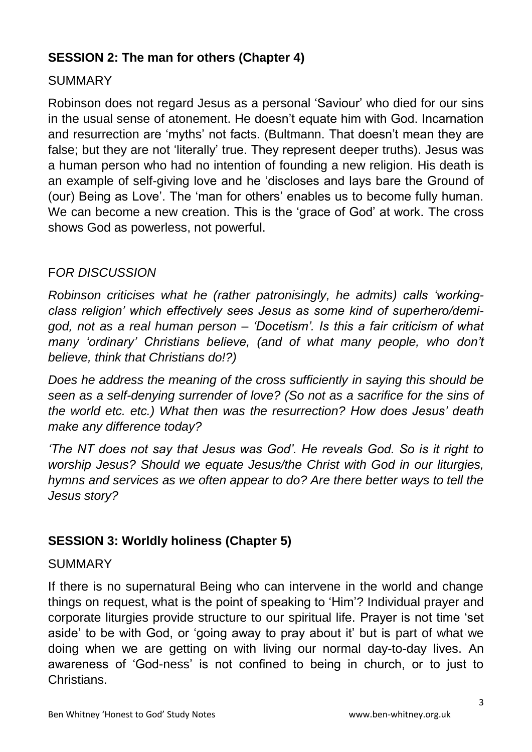# **SESSION 2: The man for others (Chapter 4)**

#### **SUMMARY**

Robinson does not regard Jesus as a personal 'Saviour' who died for our sins in the usual sense of atonement. He doesn't equate him with God. Incarnation and resurrection are 'myths' not facts. (Bultmann. That doesn't mean they are false; but they are not 'literally' true. They represent deeper truths). Jesus was a human person who had no intention of founding a new religion. His death is an example of self-giving love and he 'discloses and lays bare the Ground of (our) Being as Love'. The 'man for others' enables us to become fully human. We can become a new creation. This is the 'grace of God' at work. The cross shows God as powerless, not powerful.

#### F*OR DISCUSSION*

*Robinson criticises what he (rather patronisingly, he admits) calls 'workingclass religion' which effectively sees Jesus as some kind of superhero/demigod, not as a real human person – 'Docetism'. Is this a fair criticism of what many 'ordinary' Christians believe, (and of what many people, who don't believe, think that Christians do!?)*

*Does he address the meaning of the cross sufficiently in saying this should be seen as a self-denying surrender of love? (So not as a sacrifice for the sins of the world etc. etc.) What then was the resurrection? How does Jesus' death make any difference today?*

*'The NT does not say that Jesus was God'. He reveals God. So is it right to worship Jesus? Should we equate Jesus/the Christ with God in our liturgies, hymns and services as we often appear to do? Are there better ways to tell the Jesus story?*

## **SESSION 3: Worldly holiness (Chapter 5)**

#### SUMMARY

If there is no supernatural Being who can intervene in the world and change things on request, what is the point of speaking to 'Him'? Individual prayer and corporate liturgies provide structure to our spiritual life. Prayer is not time 'set aside' to be with God, or 'going away to pray about it' but is part of what we doing when we are getting on with living our normal day-to-day lives. An awareness of 'God-ness' is not confined to being in church, or to just to **Christians**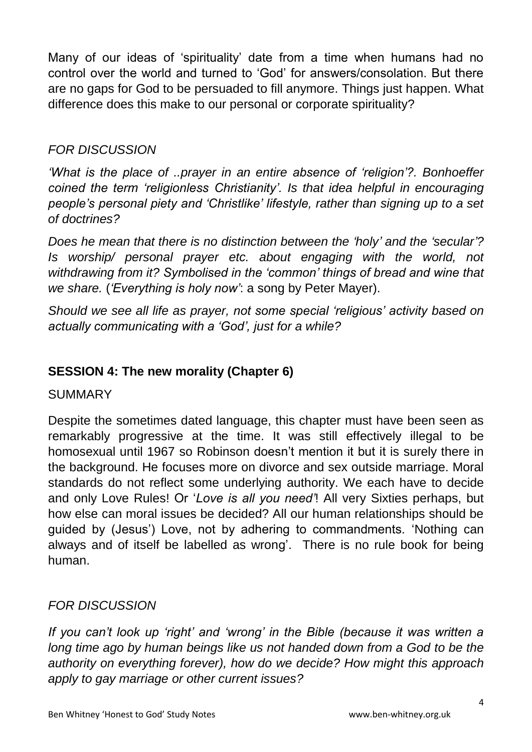Many of our ideas of 'spirituality' date from a time when humans had no control over the world and turned to 'God' for answers/consolation. But there are no gaps for God to be persuaded to fill anymore. Things just happen. What difference does this make to our personal or corporate spirituality?

## *FOR DISCUSSION*

*'What is the place of ..prayer in an entire absence of 'religion'?. Bonhoeffer coined the term 'religionless Christianity'. Is that idea helpful in encouraging people's personal piety and 'Christlike' lifestyle, rather than signing up to a set of doctrines?*

*Does he mean that there is no distinction between the 'holy' and the 'secular'? Is worship* personal prayer etc. about engaging with the world, not *withdrawing from it? Symbolised in the 'common' things of bread and wine that we share.* (*'Everything is holy now'*: a song by Peter Mayer).

*Should we see all life as prayer, not some special 'religious' activity based on actually communicating with a 'God', just for a while?*

## **SESSION 4: The new morality (Chapter 6)**

SUMMARY

Despite the sometimes dated language, this chapter must have been seen as remarkably progressive at the time. It was still effectively illegal to be homosexual until 1967 so Robinson doesn't mention it but it is surely there in the background. He focuses more on divorce and sex outside marriage. Moral standards do not reflect some underlying authority. We each have to decide and only Love Rules! Or '*Love is all you need'*! All very Sixties perhaps, but how else can moral issues be decided? All our human relationships should be guided by (Jesus') Love, not by adhering to commandments. 'Nothing can always and of itself be labelled as wrong'. There is no rule book for being human.

## *FOR DISCUSSION*

*If you can't look up 'right' and 'wrong' in the Bible (because it was written a long time ago by human beings like us not handed down from a God to be the authority on everything forever), how do we decide? How might this approach apply to gay marriage or other current issues?*